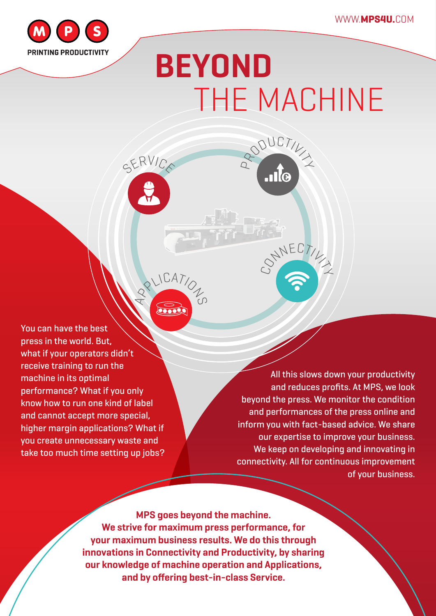

## **BEYOND** THE MACHINE

RODUCTIV<sub>IX</sub>

CONNECTIV

You can have the best press in the world. But, what if your operators didn't receive training to run the machine in its optimal performance? What if you only know how to run one kind of label and cannot accept more special, higher margin applications? What if you create unnecessary waste and take too much time setting up jobs?

All this slows down your productivity and reduces profits. At MPS, we look beyond the press. We monitor the condition and performances of the press online and inform you with fact-based advice. We share our expertise to improve your business. We keep on developing and innovating in connectivity. All for continuous improvement of your business.

**MPS goes beyond the machine. We strive for maximum press performance, for your maximum business results. We do this through innovations in Connectivity and Productivity, by sharing our knowledge of machine operation and Applications, and by offering best-in-class Service.** 

RALICATION

SERVIC